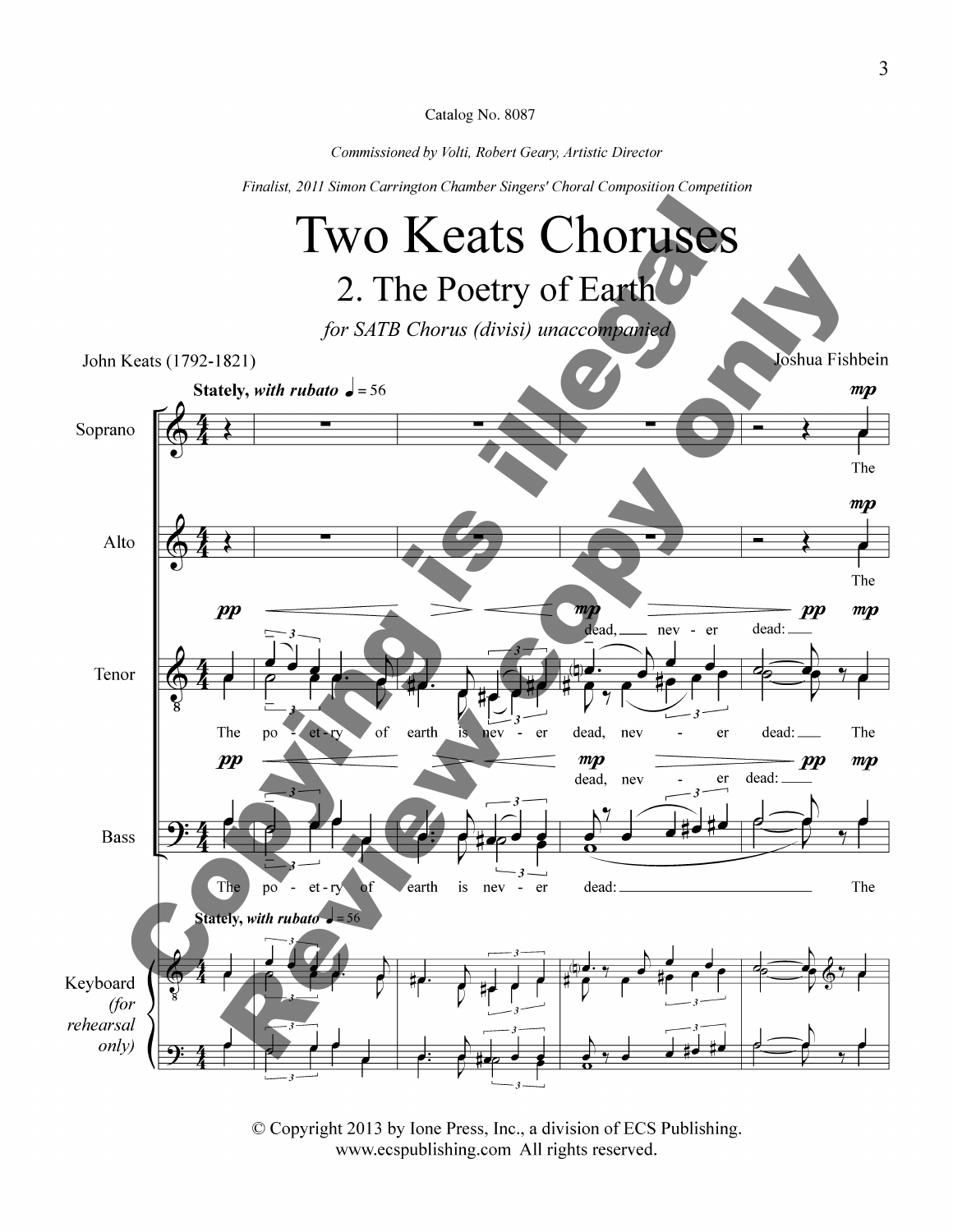*Commissioned by Volti, Robert Geary, Artistic Director* 

*Finalist, 2011 Simon Carrington Chamber Singers' Choral Composition Competition* 



©Copyright 2013 by lone Press, Inc., a division of ECS Publishing. www.ecspublishing.com All rights reserved.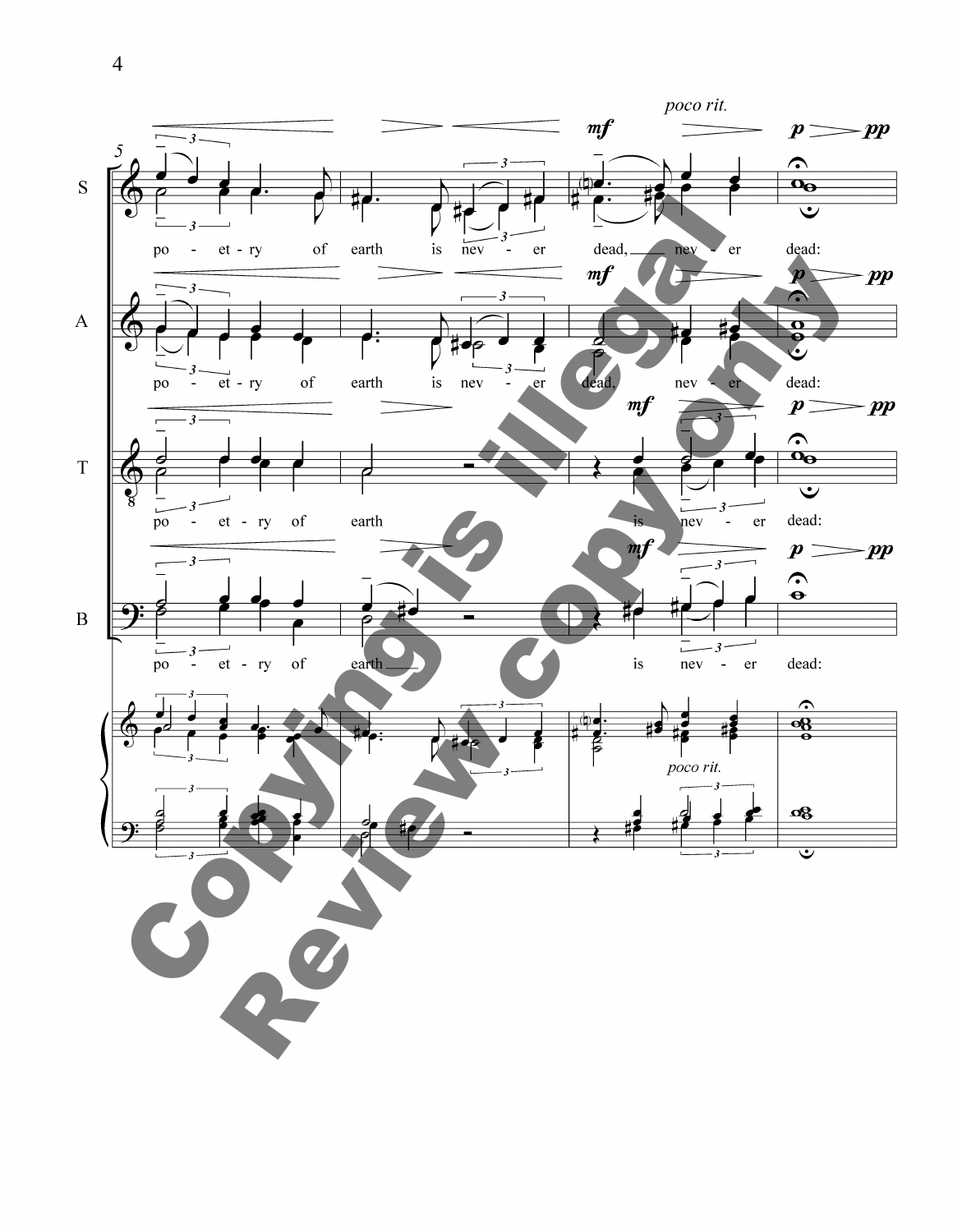

4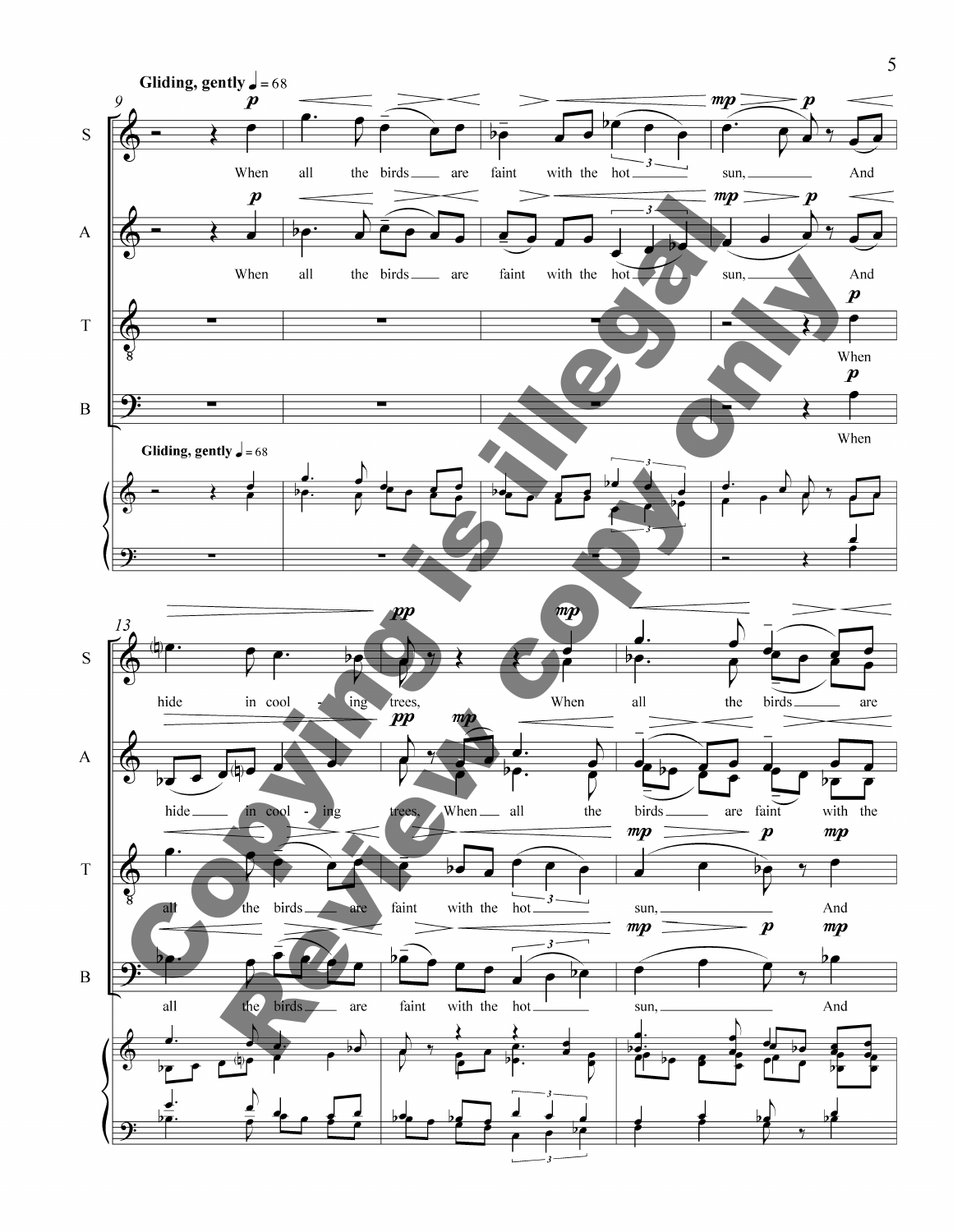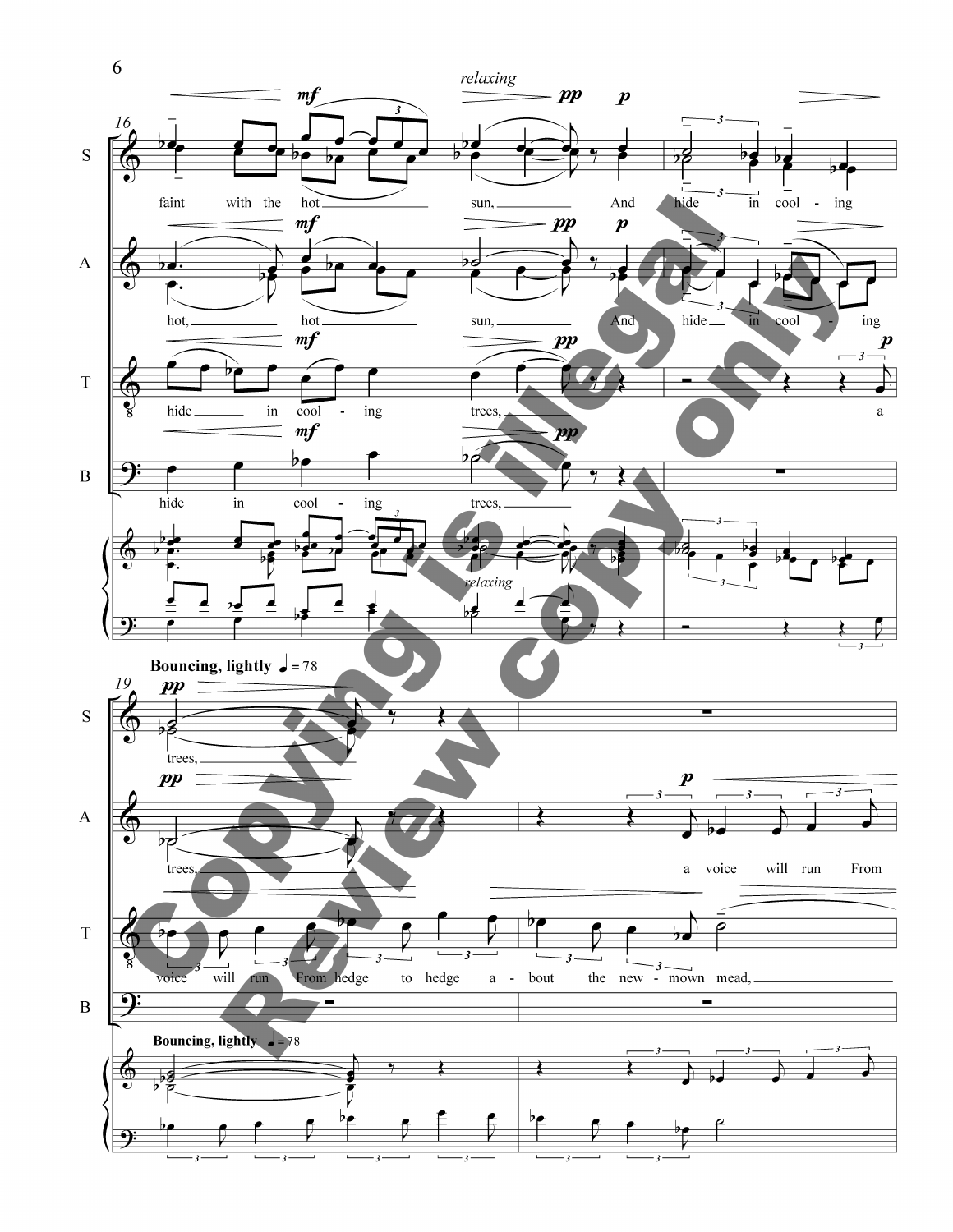